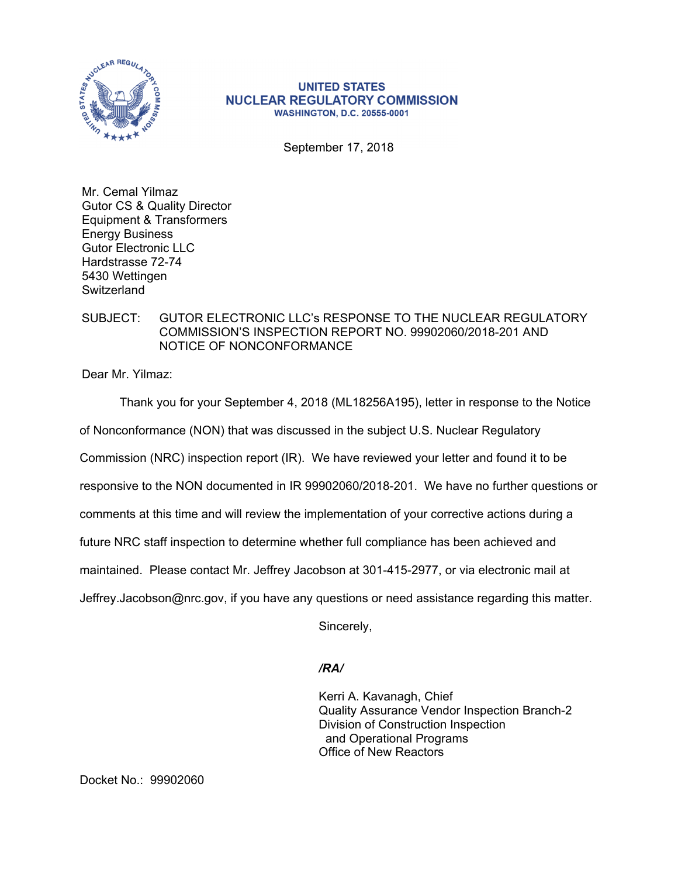

## **UNITED STATES NUCLEAR REGULATORY COMMISSION WASHINGTON, D.C. 20555-0001**

September 17, 2018

Mr. Cemal Yilmaz Gutor CS & Quality Director Equipment & Transformers Energy Business Gutor Electronic LLC Hardstrasse 72-74 5430 Wettingen **Switzerland** 

## SUBJECT: GUTOR ELECTRONIC LLC's RESPONSE TO THE NUCLEAR REGULATORY COMMISSION'S INSPECTION REPORT NO. 99902060/2018-201 AND NOTICE OF NONCONFORMANCE

Dear Mr. Yilmaz:

Thank you for your September 4, 2018 (ML18256A195), letter in response to the Notice

of Nonconformance (NON) that was discussed in the subject U.S. Nuclear Regulatory

Commission (NRC) inspection report (IR). We have reviewed your letter and found it to be

responsive to the NON documented in IR 99902060/2018-201. We have no further questions or

comments at this time and will review the implementation of your corrective actions during a

future NRC staff inspection to determine whether full compliance has been achieved and

maintained. Please contact Mr. Jeffrey Jacobson at 301-415-2977, or via electronic mail at

Jeffrey.Jacobson@nrc.gov, if you have any questions or need assistance regarding this matter.

Sincerely,

## */RA/*

Kerri A. Kavanagh, Chief Quality Assurance Vendor Inspection Branch-2 Division of Construction Inspection and Operational Programs Office of New Reactors

Docket No.: 99902060